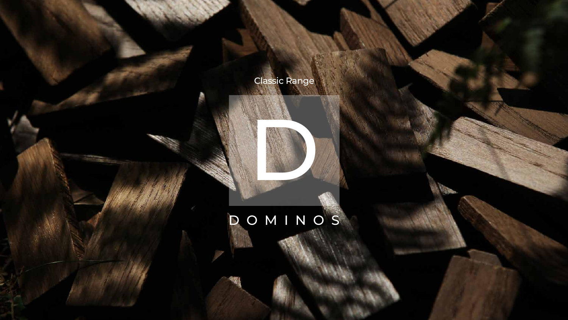## DOMINOS



## Classic Range

## D